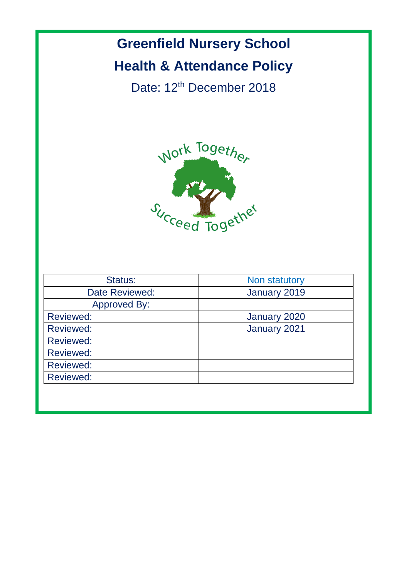# **Greenfield Nursery School Health & Attendance Policy**

Date: 12<sup>th</sup> December 2018



| Non statutory |
|---------------|
| January 2019  |
|               |
| January 2020  |
| January 2021  |
|               |
|               |
|               |
|               |
|               |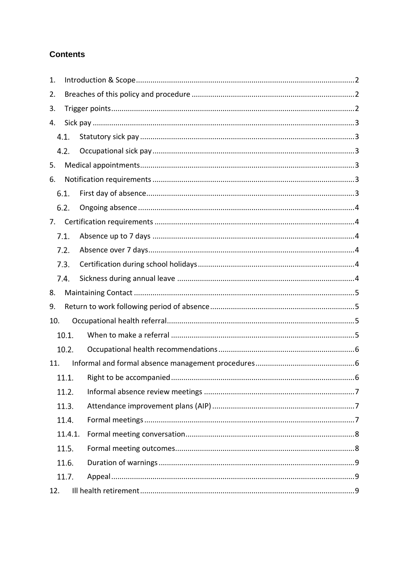# **Contents**

| 1.  |         |  |
|-----|---------|--|
| 2.  |         |  |
| 3.  |         |  |
| 4.  |         |  |
|     | 4.1.    |  |
|     | 4.2.    |  |
| 5.  |         |  |
| 6.  |         |  |
|     | 6.1.    |  |
|     | 6.2.    |  |
| 7.  |         |  |
|     | 7.1.    |  |
|     | 7.2.    |  |
|     | 7.3.    |  |
|     | 7.4.    |  |
| 8.  |         |  |
|     |         |  |
| 9.  |         |  |
| 10. |         |  |
|     | 10.1.   |  |
|     | 10.2.   |  |
| 11. |         |  |
|     | 11.1.   |  |
|     | 11.2.   |  |
|     | 11.3.   |  |
|     | 11.4.   |  |
|     | 11.4.1. |  |
|     | 11.5.   |  |
|     | 11.6.   |  |
|     | 11.7.   |  |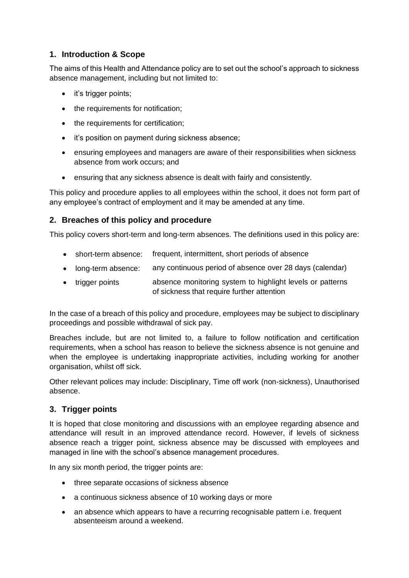# **1. Introduction & Scope**

The aims of this Health and Attendance policy are to set out the school's approach to sickness absence management, including but not limited to:

- it's trigger points;
- the requirements for notification;
- the requirements for certification;
- it's position on payment during sickness absence;
- ensuring employees and managers are aware of their responsibilities when sickness absence from work occurs; and
- ensuring that any sickness absence is dealt with fairly and consistently.

This policy and procedure applies to all employees within the school, it does not form part of any employee's contract of employment and it may be amended at any time.

# **2. Breaches of this policy and procedure**

This policy covers short-term and long-term absences. The definitions used in this policy are:

- short-term absence: frequent, intermittent, short periods of absence
- long-term absence: any continuous period of absence over 28 days (calendar)
- trigger points absence monitoring system to highlight levels or patterns of sickness that require further attention

In the case of a breach of this policy and procedure, employees may be subject to disciplinary proceedings and possible withdrawal of sick pay.

Breaches include, but are not limited to, a failure to follow notification and certification requirements, when a school has reason to believe the sickness absence is not genuine and when the employee is undertaking inappropriate activities, including working for another organisation, whilst off sick.

Other relevant polices may include: Disciplinary, Time off work (non-sickness), Unauthorised absence.

# **3. Trigger points**

It is hoped that close monitoring and discussions with an employee regarding absence and attendance will result in an improved attendance record. However, if levels of sickness absence reach a trigger point, sickness absence may be discussed with employees and managed in line with the school's absence management procedures.

In any six month period, the trigger points are:

- three separate occasions of sickness absence
- a continuous sickness absence of 10 working days or more
- an absence which appears to have a recurring recognisable pattern i.e. frequent absenteeism around a weekend.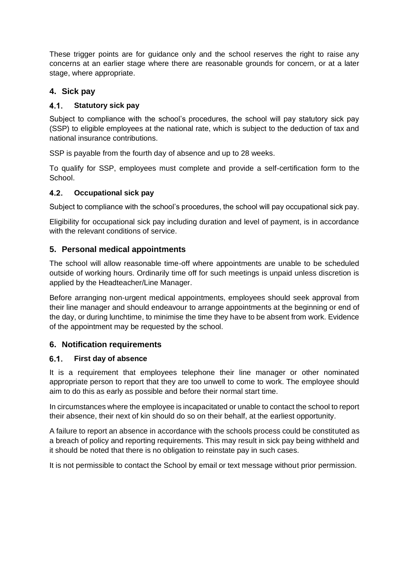These trigger points are for guidance only and the school reserves the right to raise any concerns at an earlier stage where there are reasonable grounds for concern, or at a later stage, where appropriate.

# **4. Sick pay**

### $4.1.$ **Statutory sick pay**

Subject to compliance with the school's procedures, the school will pay statutory sick pay (SSP) to eligible employees at the national rate, which is subject to the deduction of tax and national insurance contributions.

SSP is payable from the fourth day of absence and up to 28 weeks.

To qualify for SSP, employees must complete and provide a self-certification form to the School.

#### $4.2.$ **Occupational sick pay**

Subject to compliance with the school's procedures, the school will pay occupational sick pay.

Eligibility for occupational sick pay including duration and level of payment, is in accordance with the relevant conditions of service.

# **5. Personal medical appointments**

The school will allow reasonable time-off where appointments are unable to be scheduled outside of working hours. Ordinarily time off for such meetings is unpaid unless discretion is applied by the Headteacher/Line Manager.

Before arranging non-urgent medical appointments, employees should seek approval from their line manager and should endeavour to arrange appointments at the beginning or end of the day, or during lunchtime, to minimise the time they have to be absent from work. Evidence of the appointment may be requested by the school.

# **6. Notification requirements**

#### $6.1.$ **First day of absence**

It is a requirement that employees telephone their line manager or other nominated appropriate person to report that they are too unwell to come to work. The employee should aim to do this as early as possible and before their normal start time.

In circumstances where the employee is incapacitated or unable to contact the school to report their absence, their next of kin should do so on their behalf, at the earliest opportunity.

A failure to report an absence in accordance with the schools process could be constituted as a breach of policy and reporting requirements. This may result in sick pay being withheld and it should be noted that there is no obligation to reinstate pay in such cases.

It is not permissible to contact the School by email or text message without prior permission.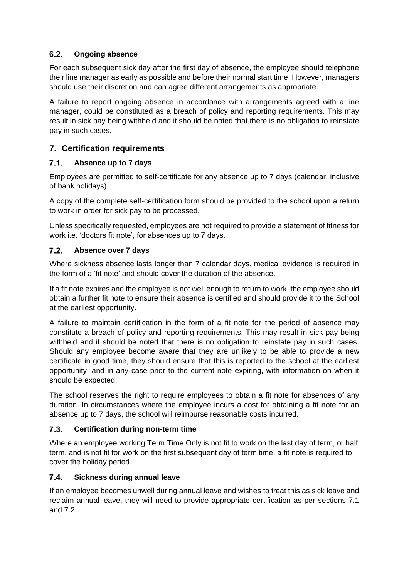### $6.2.$ **Ongoing absence**

For each subsequent sick day after the first day of absence, the employee should telephone their line manager as early as possible and before their normal start time. However, managers should use their discretion and can agree different arrangements as appropriate.

A failure to report ongoing absence in accordance with arrangements agreed with a line manager, could be constituted as a breach of policy and reporting requirements. This may result in sick pay being withheld and it should be noted that there is no obligation to reinstate pay in such cases.

# **7. Certification requirements**

### $7.1.$ **Absence up to 7 days**

Employees are permitted to self-certificate for any absence up to 7 days (calendar, inclusive of bank holidays).

A copy of the complete self-certification form should be provided to the school upon a return to work in order for sick pay to be processed.

Unless specifically requested, employees are not required to provide a statement of fitness for work i.e. 'doctors fit note', for absences up to 7 days.

#### $7.2.$ **Absence over 7 days**

Where sickness absence lasts longer than 7 calendar days, medical evidence is required in the form of a 'fit note' and should cover the duration of the absence.

If a fit note expires and the employee is not well enough to return to work, the employee should obtain a further fit note to ensure their absence is certified and should provide it to the School at the earliest opportunity.

A failure to maintain certification in the form of a fit note for the period of absence may constitute a breach of policy and reporting requirements. This may result in sick pay being withheld and it should be noted that there is no obligation to reinstate pay in such cases. Should any employee become aware that they are unlikely to be able to provide a new certificate in good time, they should ensure that this is reported to the school at the earliest opportunity, and in any case prior to the current note expiring, with information on when it should be expected.

The school reserves the right to require employees to obtain a fit note for absences of any duration. In circumstances where the employee incurs a cost for obtaining a fit note for an absence up to 7 days, the school will reimburse reasonable costs incurred.

### $7.3.$ **Certification during non-term time**

Where an employee working Term Time Only is not fit to work on the last day of term, or half term, and is not fit for work on the first subsequent day of term time, a fit note is required to cover the holiday period.

### $7.4.$ **Sickness during annual leave**

If an employee becomes unwell during annual leave and wishes to treat this as sick leave and reclaim annual leave, they will need to provide appropriate certification as per sections 7.1 and 7.2.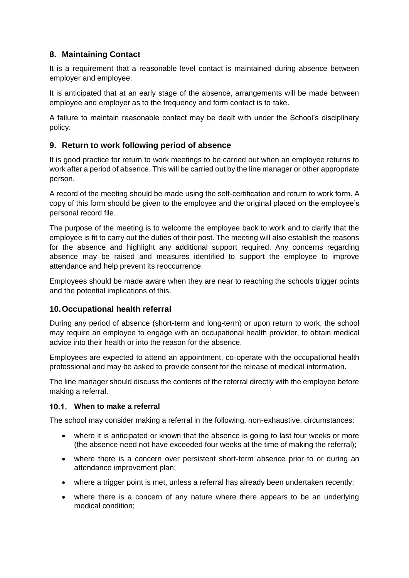# **8. Maintaining Contact**

It is a requirement that a reasonable level contact is maintained during absence between employer and employee.

It is anticipated that at an early stage of the absence, arrangements will be made between employee and employer as to the frequency and form contact is to take.

A failure to maintain reasonable contact may be dealt with under the School's disciplinary policy.

# **9. Return to work following period of absence**

It is good practice for return to work meetings to be carried out when an employee returns to work after a period of absence. This will be carried out by the line manager or other appropriate person.

A record of the meeting should be made using the self-certification and return to work form. A copy of this form should be given to the employee and the original placed on the employee's personal record file.

The purpose of the meeting is to welcome the employee back to work and to clarify that the employee is fit to carry out the duties of their post. The meeting will also establish the reasons for the absence and highlight any additional support required. Any concerns regarding absence may be raised and measures identified to support the employee to improve attendance and help prevent its reoccurrence.

Employees should be made aware when they are near to reaching the schools trigger points and the potential implications of this.

# **10.Occupational health referral**

During any period of absence (short-term and long-term) or upon return to work, the school may require an employee to engage with an occupational health provider, to obtain medical advice into their health or into the reason for the absence.

Employees are expected to attend an appointment, co-operate with the occupational health professional and may be asked to provide consent for the release of medical information.

The line manager should discuss the contents of the referral directly with the employee before making a referral.

# **When to make a referral**

The school may consider making a referral in the following, non-exhaustive, circumstances:

- where it is anticipated or known that the absence is going to last four weeks or more (the absence need not have exceeded four weeks at the time of making the referral);
- where there is a concern over persistent short-term absence prior to or during an attendance improvement plan;
- where a trigger point is met, unless a referral has already been undertaken recently;
- where there is a concern of any nature where there appears to be an underlying medical condition;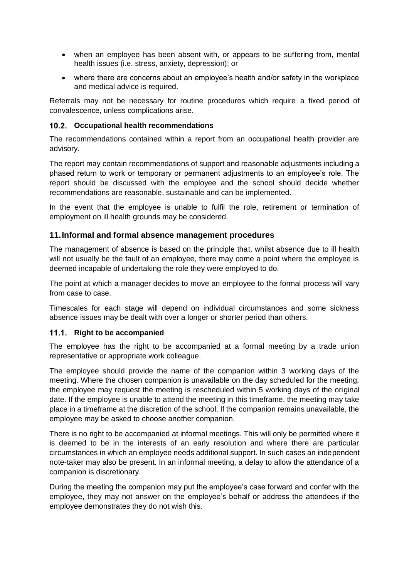- when an employee has been absent with, or appears to be suffering from, mental health issues (i.e. stress, anxiety, depression); or
- where there are concerns about an employee's health and/or safety in the workplace and medical advice is required.

Referrals may not be necessary for routine procedures which require a fixed period of convalescence, unless complications arise.

### **Occupational health recommendations**

The recommendations contained within a report from an occupational health provider are advisory.

The report may contain recommendations of support and reasonable adjustments including a phased return to work or temporary or permanent adjustments to an employee's role. The report should be discussed with the employee and the school should decide whether recommendations are reasonable, sustainable and can be implemented.

In the event that the employee is unable to fulfil the role, retirement or termination of employment on ill health grounds may be considered.

### **11.Informal and formal absence management procedures**

The management of absence is based on the principle that, whilst absence due to ill health will not usually be the fault of an employee, there may come a point where the employee is deemed incapable of undertaking the role they were employed to do.

The point at which a manager decides to move an employee to the formal process will vary from case to case.

Timescales for each stage will depend on individual circumstances and some sickness absence issues may be dealt with over a longer or shorter period than others.

### 11.1. Right to be accompanied

The employee has the right to be accompanied at a formal meeting by a trade union representative or appropriate work colleague.

The employee should provide the name of the companion within 3 working days of the meeting. Where the chosen companion is unavailable on the day scheduled for the meeting, the employee may request the meeting is rescheduled within 5 working days of the original date. If the employee is unable to attend the meeting in this timeframe, the meeting may take place in a timeframe at the discretion of the school. If the companion remains unavailable, the employee may be asked to choose another companion.

There is no right to be accompanied at informal meetings. This will only be permitted where it is deemed to be in the interests of an early resolution and where there are particular circumstances in which an employee needs additional support. In such cases an independent note-taker may also be present. In an informal meeting, a delay to allow the attendance of a companion is discretionary.

During the meeting the companion may put the employee's case forward and confer with the employee, they may not answer on the employee's behalf or address the attendees if the employee demonstrates they do not wish this.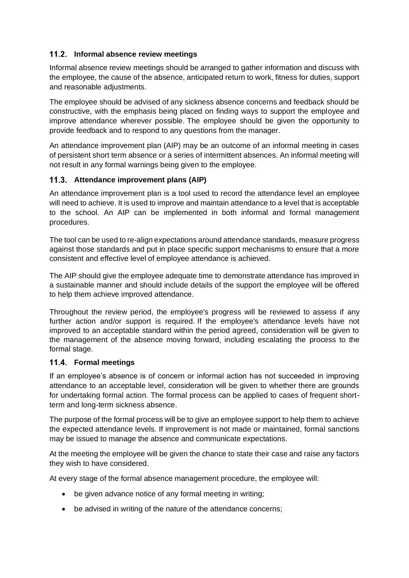# **Informal absence review meetings**

Informal absence review meetings should be arranged to gather information and discuss with the employee, the cause of the absence, anticipated return to work, fitness for duties, support and reasonable adjustments.

The employee should be advised of any sickness absence concerns and feedback should be constructive, with the emphasis being placed on finding ways to support the employee and improve attendance wherever possible. The employee should be given the opportunity to provide feedback and to respond to any questions from the manager.

An attendance improvement plan (AIP) may be an outcome of an informal meeting in cases of persistent short term absence or a series of intermittent absences. An informal meeting will not result in any formal warnings being given to the employee.

## **Attendance improvement plans (AIP)**

An attendance improvement plan is a tool used to record the attendance level an employee will need to achieve. It is used to improve and maintain attendance to a level that is acceptable to the school. An AIP can be implemented in both informal and formal management procedures.

The tool can be used to re-align expectations around attendance standards, measure progress against those standards and put in place specific support mechanisms to ensure that a more consistent and effective level of employee attendance is achieved.

The AIP should give the employee adequate time to demonstrate attendance has improved in a sustainable manner and should include details of the support the employee will be offered to help them achieve improved attendance.

Throughout the review period, the employee's progress will be reviewed to assess if any further action and/or support is required. If the employee's attendance levels have not improved to an acceptable standard within the period agreed, consideration will be given to the management of the absence moving forward, including escalating the process to the formal stage.

### **Formal meetings**

If an employee's absence is of concern or informal action has not succeeded in improving attendance to an acceptable level, consideration will be given to whether there are grounds for undertaking formal action. The formal process can be applied to cases of frequent shortterm and long-term sickness absence.

The purpose of the formal process will be to give an employee support to help them to achieve the expected attendance levels. If improvement is not made or maintained, formal sanctions may be issued to manage the absence and communicate expectations.

At the meeting the employee will be given the chance to state their case and raise any factors they wish to have considered.

At every stage of the formal absence management procedure, the employee will:

- be given advance notice of any formal meeting in writing;
- be advised in writing of the nature of the attendance concerns;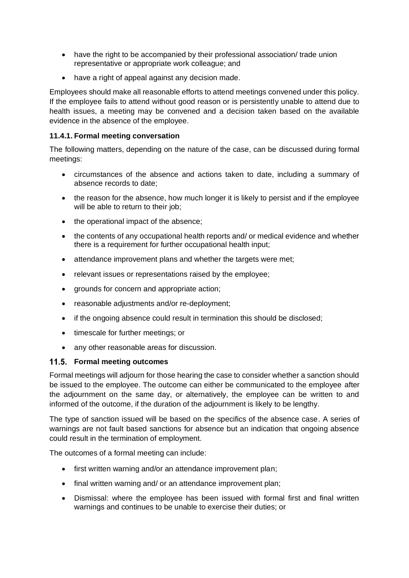- have the right to be accompanied by their professional association/ trade union representative or appropriate work colleague; and
- have a right of appeal against any decision made.

Employees should make all reasonable efforts to attend meetings convened under this policy. If the employee fails to attend without good reason or is persistently unable to attend due to health issues, a meeting may be convened and a decision taken based on the available evidence in the absence of the employee.

## **11.4.1. Formal meeting conversation**

The following matters, depending on the nature of the case, can be discussed during formal meetings:

- circumstances of the absence and actions taken to date, including a summary of absence records to date;
- the reason for the absence, how much longer it is likely to persist and if the employee will be able to return to their job;
- the operational impact of the absence;
- the contents of any occupational health reports and/ or medical evidence and whether there is a requirement for further occupational health input;
- attendance improvement plans and whether the targets were met;
- relevant issues or representations raised by the employee;
- grounds for concern and appropriate action;
- reasonable adjustments and/or re-deployment;
- if the ongoing absence could result in termination this should be disclosed;
- timescale for further meetings; or
- any other reasonable areas for discussion.

### **Formal meeting outcomes**

Formal meetings will adjourn for those hearing the case to consider whether a sanction should be issued to the employee. The outcome can either be communicated to the employee after the adjournment on the same day, or alternatively, the employee can be written to and informed of the outcome, if the duration of the adjournment is likely to be lengthy.

The type of sanction issued will be based on the specifics of the absence case. A series of warnings are not fault based sanctions for absence but an indication that ongoing absence could result in the termination of employment.

The outcomes of a formal meeting can include:

- first written warning and/or an attendance improvement plan;
- final written warning and/ or an attendance improvement plan;
- Dismissal: where the employee has been issued with formal first and final written warnings and continues to be unable to exercise their duties; or